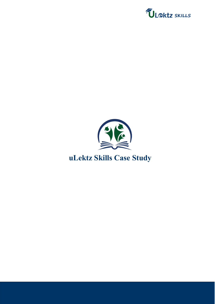

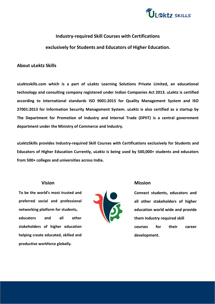

# **Industry-required Skill Courses with Certifications exclusively for Students and Educators of Higher Education.**

## **About uLektz Skills**

**uLektzskills.com which is a part of uLektz Learning Solutions Private Limited, an educational technology and consulting company registered under Indian Companies Act 2013. uLektz is certified according to international standards ISO 9001:2015 for Quality Management System and ISO 27001:2013 for Information Security Management System. uLektz is also certified as a startup by The Department for Promotion of Industry and Internal Trade (DPIIT) is a central government department under the Ministry of Commerce and Industry.**

**uLektzSkills provides Industry-required Skill Courses with Certifications exclusively for Students and Educators of Higher Education Currently, uLektz is being used by 500,000+ students and educators from 500+ colleges and universities across India.**

## **Vision**

**To be the world's most trusted and preferred social and professional networking platform for students, educators and all other stakeholders** of higher **education helping create educated, skilled and productive workforce globally.**



## **Mission**

**Connect students, educators and all other stakeholders of higher education world wide and provide them Industry required skill courses for their career development.**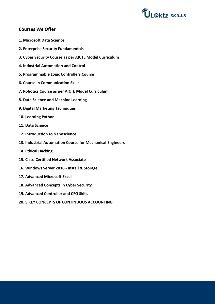

## **Courses We Offer**

- **1. Microsoft Data Science**
- **2. Enterprise Security Fundamentals**
- **3. Cyber Security Course as perAICTE Model Curriculum**
- **4. Industrial Automation and Control**
- **5. Programmable Logic Controllers Course**
- **6. Course in Communication Skills**
- **7. Robotics Course as per AICTE Model Curriculum**
- **8. Data Science and Machine Learning**
- **9. Digital Marketing Techniques**
- **10. Learning Python**
- **11. Data Science**
- **12. Introduction to Nanoscience**
- **13. Industrial Automation Course for Mechanical Engineers**
- **14. Ethical Hacking**
- **15. Cisco Certified Network Associate**
- **16. Windows Server 2016 - Install & Storage**
- **17. Advanced Microsoft Excel**
- **18. Advanced Concepts in Cyber Security**
- **19. Advanced Controller and CFO Skills**
- **20. 5 KEY CONCEPTS OF CONTINUOUS ACCOUNTING**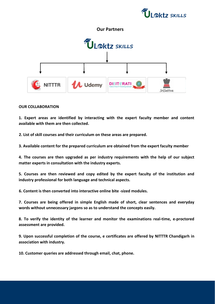



#### **OUR COLLABORATION**

**1. Expert areas are identified by interacting with the expert faculty member and content available with them are then collected.**

**2. List of skill courses and their curriculum on these areas are prepared.**

**3. Available content for the prepared curriculum are obtained from the expert faculty member**

**4. The courses are then upgraded as per industry requirements with the help of our subject matter experts in consultation with the industry experts.**

**5. Courses are then reviewed and copy edited by the expert faculty of the institution and industry professional for both language and technical aspects.**

**6. Content is then converted into interactive online bite -sized modules.**

**7. Courses are being offered in simple English made of short, clear sentences and everyday words without unnecessary jargons so as to understand the concepts easily.**

**8. To verify the identity of the learner and monitor the examinations real-time, e-proctored assessment are provided.**

**9. Upon successful completion of the course, e certificates are offered by NITTTR Chandigarh in association with industry.**

**10. Customer queries are addressed through email, chat, phone.**